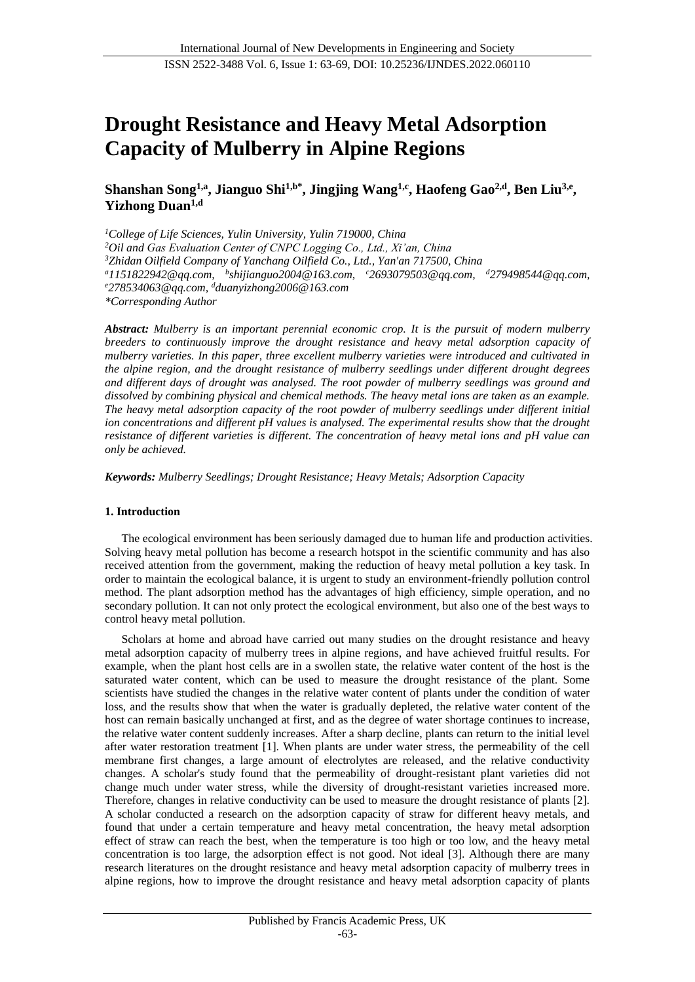# **Drought Resistance and Heavy Metal Adsorption Capacity of Mulberry in Alpine Regions**

**Shanshan Song1,a, Jianguo Shi1,b\* , Jingjing Wang1,c, Haofeng Gao2,d , Ben Liu3,e , Yizhong Duan1,d**

*<sup>1</sup>College of Life Sciences, Yulin University, Yulin 719000, China <sup>2</sup>Oil and Gas Evaluation Center of CNPC Logging Co., Ltd., Xi'an, China <sup>3</sup>Zhidan Oilfield Company of Yanchang Oilfield Co., Ltd., Yan'an 717500, China <sup>a</sup>1151822942@qq.com, b shijianguo2004@163.com, <sup>c</sup>2693079503@qq.com, <sup>d</sup>279498544@qq.com, <sup>e</sup>278534063@qq.com, <sup>d</sup>duanyizhong2006@163.com \*Corresponding Author*

*Abstract: Mulberry is an important perennial economic crop. It is the pursuit of modern mulberry breeders to continuously improve the drought resistance and heavy metal adsorption capacity of mulberry varieties. In this paper, three excellent mulberry varieties were introduced and cultivated in the alpine region, and the drought resistance of mulberry seedlings under different drought degrees and different days of drought was analysed. The root powder of mulberry seedlings was ground and dissolved by combining physical and chemical methods. The heavy metal ions are taken as an example. The heavy metal adsorption capacity of the root powder of mulberry seedlings under different initial ion concentrations and different pH values is analysed. The experimental results show that the drought resistance of different varieties is different. The concentration of heavy metal ions and pH value can only be achieved.*

*Keywords: Mulberry Seedlings; Drought Resistance; Heavy Metals; Adsorption Capacity*

#### **1. Introduction**

The ecological environment has been seriously damaged due to human life and production activities. Solving heavy metal pollution has become a research hotspot in the scientific community and has also received attention from the government, making the reduction of heavy metal pollution a key task. In order to maintain the ecological balance, it is urgent to study an environment-friendly pollution control method. The plant adsorption method has the advantages of high efficiency, simple operation, and no secondary pollution. It can not only protect the ecological environment, but also one of the best ways to control heavy metal pollution.

Scholars at home and abroad have carried out many studies on the drought resistance and heavy metal adsorption capacity of mulberry trees in alpine regions, and have achieved fruitful results. For example, when the plant host cells are in a swollen state, the relative water content of the host is the saturated water content, which can be used to measure the drought resistance of the plant. Some scientists have studied the changes in the relative water content of plants under the condition of water loss, and the results show that when the water is gradually depleted, the relative water content of the host can remain basically unchanged at first, and as the degree of water shortage continues to increase, the relative water content suddenly increases. After a sharp decline, plants can return to the initial level after water restoration treatment [1]. When plants are under water stress, the permeability of the cell membrane first changes, a large amount of electrolytes are released, and the relative conductivity changes. A scholar's study found that the permeability of drought-resistant plant varieties did not change much under water stress, while the diversity of drought-resistant varieties increased more. Therefore, changes in relative conductivity can be used to measure the drought resistance of plants [2]. A scholar conducted a research on the adsorption capacity of straw for different heavy metals, and found that under a certain temperature and heavy metal concentration, the heavy metal adsorption effect of straw can reach the best, when the temperature is too high or too low, and the heavy metal concentration is too large, the adsorption effect is not good. Not ideal [3]. Although there are many research literatures on the drought resistance and heavy metal adsorption capacity of mulberry trees in alpine regions, how to improve the drought resistance and heavy metal adsorption capacity of plants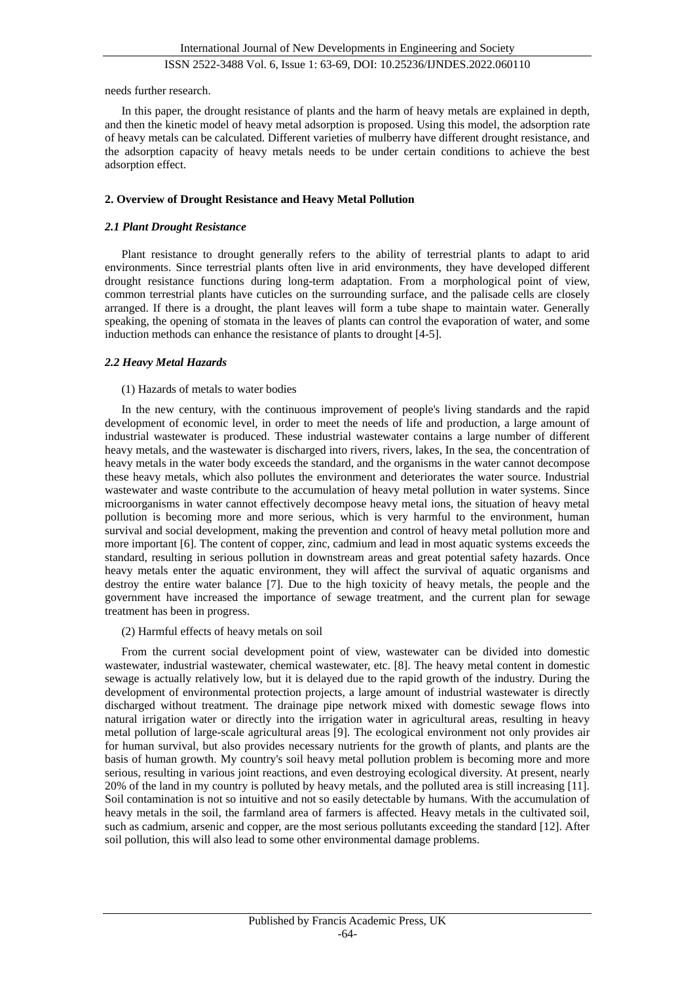needs further research.

In this paper, the drought resistance of plants and the harm of heavy metals are explained in depth, and then the kinetic model of heavy metal adsorption is proposed. Using this model, the adsorption rate of heavy metals can be calculated. Different varieties of mulberry have different drought resistance, and the adsorption capacity of heavy metals needs to be under certain conditions to achieve the best adsorption effect.

## **2. Overview of Drought Resistance and Heavy Metal Pollution**

## *2.1 Plant Drought Resistance*

Plant resistance to drought generally refers to the ability of terrestrial plants to adapt to arid environments. Since terrestrial plants often live in arid environments, they have developed different drought resistance functions during long-term adaptation. From a morphological point of view, common terrestrial plants have cuticles on the surrounding surface, and the palisade cells are closely arranged. If there is a drought, the plant leaves will form a tube shape to maintain water. Generally speaking, the opening of stomata in the leaves of plants can control the evaporation of water, and some induction methods can enhance the resistance of plants to drought [4-5].

## *2.2 Heavy Metal Hazards*

## (1) Hazards of metals to water bodies

In the new century, with the continuous improvement of people's living standards and the rapid development of economic level, in order to meet the needs of life and production, a large amount of industrial wastewater is produced. These industrial wastewater contains a large number of different heavy metals, and the wastewater is discharged into rivers, rivers, lakes, In the sea, the concentration of heavy metals in the water body exceeds the standard, and the organisms in the water cannot decompose these heavy metals, which also pollutes the environment and deteriorates the water source. Industrial wastewater and waste contribute to the accumulation of heavy metal pollution in water systems. Since microorganisms in water cannot effectively decompose heavy metal ions, the situation of heavy metal pollution is becoming more and more serious, which is very harmful to the environment, human survival and social development, making the prevention and control of heavy metal pollution more and more important [6]. The content of copper, zinc, cadmium and lead in most aquatic systems exceeds the standard, resulting in serious pollution in downstream areas and great potential safety hazards. Once heavy metals enter the aquatic environment, they will affect the survival of aquatic organisms and destroy the entire water balance [7]. Due to the high toxicity of heavy metals, the people and the government have increased the importance of sewage treatment, and the current plan for sewage treatment has been in progress.

#### (2) Harmful effects of heavy metals on soil

From the current social development point of view, wastewater can be divided into domestic wastewater, industrial wastewater, chemical wastewater, etc. [8]. The heavy metal content in domestic sewage is actually relatively low, but it is delayed due to the rapid growth of the industry. During the development of environmental protection projects, a large amount of industrial wastewater is directly discharged without treatment. The drainage pipe network mixed with domestic sewage flows into natural irrigation water or directly into the irrigation water in agricultural areas, resulting in heavy metal pollution of large-scale agricultural areas [9]. The ecological environment not only provides air for human survival, but also provides necessary nutrients for the growth of plants, and plants are the basis of human growth. My country's soil heavy metal pollution problem is becoming more and more serious, resulting in various joint reactions, and even destroying ecological diversity. At present, nearly 20% of the land in my country is polluted by heavy metals, and the polluted area is still increasing [11]. Soil contamination is not so intuitive and not so easily detectable by humans. With the accumulation of heavy metals in the soil, the farmland area of farmers is affected. Heavy metals in the cultivated soil, such as cadmium, arsenic and copper, are the most serious pollutants exceeding the standard [12]. After soil pollution, this will also lead to some other environmental damage problems.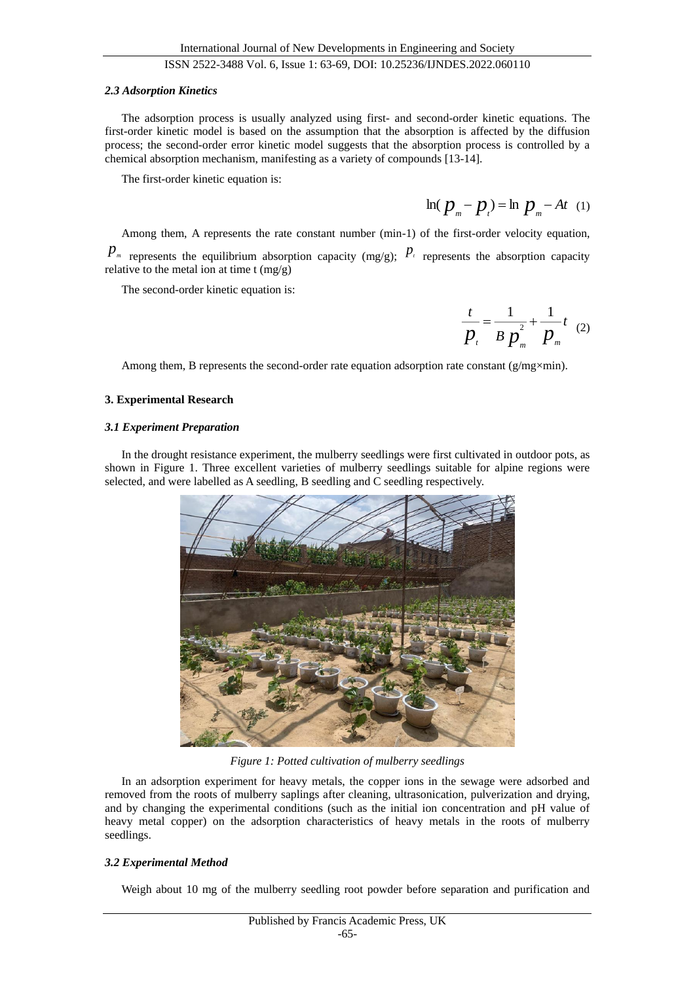#### *2.3 Adsorption Kinetics*

The adsorption process is usually analyzed using first- and second-order kinetic equations. The first-order kinetic model is based on the assumption that the absorption is affected by the diffusion process; the second-order error kinetic model suggests that the absorption process is controlled by a chemical absorption mechanism, manifesting as a variety of compounds [13-14].

The first-order kinetic equation is:

$$
\ln (p_{m} - p_{t}) = \ln p_{m} - At (1)
$$

Among them, A represents the rate constant number (min-1) of the first-order velocity equation,

 $p_m$  represents the equilibrium absorption capacity (mg/g);  $p_t$  represents the absorption capacity relative to the metal ion at time t  $(mg/g)$ 

The second-order kinetic equation is:

$$
\frac{t}{p_{t}} = \frac{1}{B p_{m}^{2}} + \frac{1}{p_{m}} t
$$
 (2)

Among them, B represents the second-order rate equation adsorption rate constant ( $g/mg \times min$ ).

#### **3. Experimental Research**

#### *3.1 Experiment Preparation*

In the drought resistance experiment, the mulberry seedlings were first cultivated in outdoor pots, as shown in Figure 1. Three excellent varieties of mulberry seedlings suitable for alpine regions were selected, and were labelled as A seedling, B seedling and C seedling respectively.



*Figure 1: Potted cultivation of mulberry seedlings*

In an adsorption experiment for heavy metals, the copper ions in the sewage were adsorbed and removed from the roots of mulberry saplings after cleaning, ultrasonication, pulverization and drying, and by changing the experimental conditions (such as the initial ion concentration and pH value of heavy metal copper) on the adsorption characteristics of heavy metals in the roots of mulberry seedlings.

## *3.2 Experimental Method*

Weigh about 10 mg of the mulberry seedling root powder before separation and purification and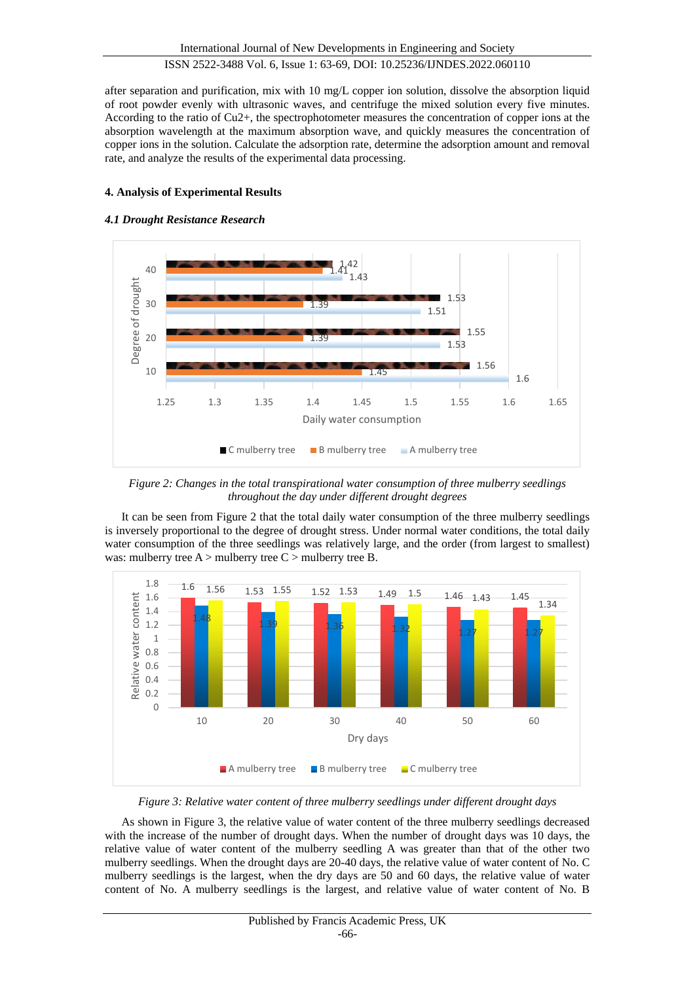after separation and purification, mix with 10 mg/L copper ion solution, dissolve the absorption liquid of root powder evenly with ultrasonic waves, and centrifuge the mixed solution every five minutes. According to the ratio of Cu2+, the spectrophotometer measures the concentration of copper ions at the absorption wavelength at the maximum absorption wave, and quickly measures the concentration of copper ions in the solution. Calculate the adsorption rate, determine the adsorption amount and removal rate, and analyze the results of the experimental data processing.

## **4. Analysis of Experimental Results**

#### *4.1 Drought Resistance Research*



*Figure 2: Changes in the total transpirational water consumption of three mulberry seedlings throughout the day under different drought degrees*

It can be seen from Figure 2 that the total daily water consumption of the three mulberry seedlings is inversely proportional to the degree of drought stress. Under normal water conditions, the total daily water consumption of the three seedlings was relatively large, and the order (from largest to smallest) was: mulberry tree  $A >$  mulberry tree  $C >$  mulberry tree B.



*Figure 3: Relative water content of three mulberry seedlings under different drought days*

As shown in Figure 3, the relative value of water content of the three mulberry seedlings decreased with the increase of the number of drought days. When the number of drought days was 10 days, the relative value of water content of the mulberry seedling A was greater than that of the other two mulberry seedlings. When the drought days are 20-40 days, the relative value of water content of No. C mulberry seedlings is the largest, when the dry days are 50 and 60 days, the relative value of water content of No. A mulberry seedlings is the largest, and relative value of water content of No. B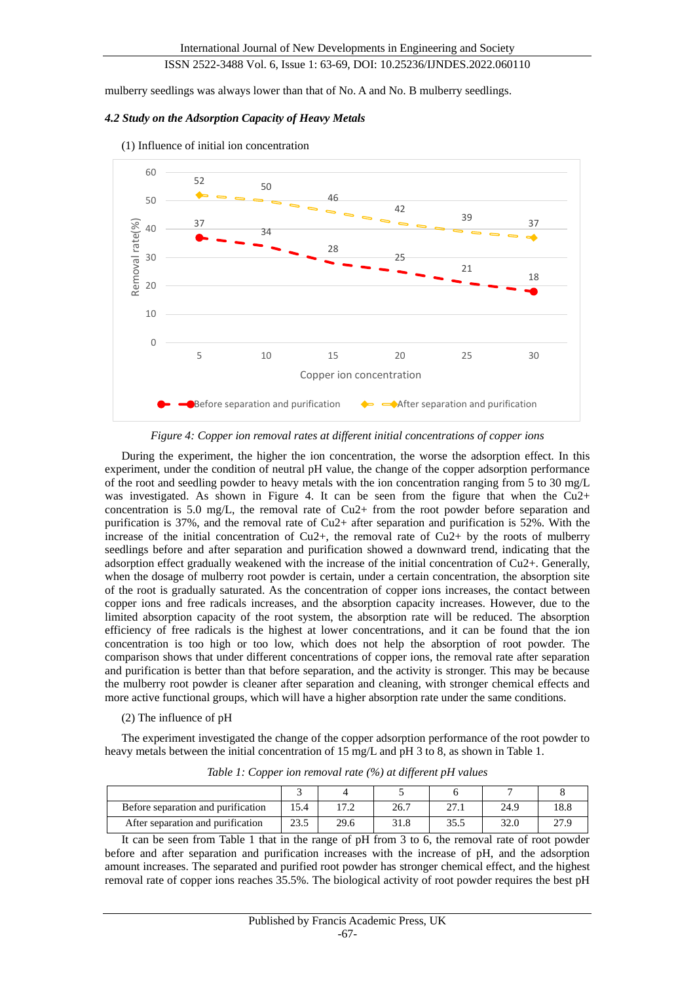mulberry seedlings was always lower than that of No. A and No. B mulberry seedlings.

#### *4.2 Study on the Adsorption Capacity of Heavy Metals*



(1) Influence of initial ion concentration

*Figure 4: Copper ion removal rates at different initial concentrations of copper ions*

During the experiment, the higher the ion concentration, the worse the adsorption effect. In this experiment, under the condition of neutral pH value, the change of the copper adsorption performance of the root and seedling powder to heavy metals with the ion concentration ranging from 5 to 30 mg/L was investigated. As shown in Figure 4. It can be seen from the figure that when the Cu2+ concentration is 5.0 mg/L, the removal rate of Cu2+ from the root powder before separation and purification is 37%, and the removal rate of Cu2+ after separation and purification is 52%. With the increase of the initial concentration of Cu2+, the removal rate of Cu2+ by the roots of mulberry seedlings before and after separation and purification showed a downward trend, indicating that the adsorption effect gradually weakened with the increase of the initial concentration of Cu2+. Generally, when the dosage of mulberry root powder is certain, under a certain concentration, the absorption site of the root is gradually saturated. As the concentration of copper ions increases, the contact between copper ions and free radicals increases, and the absorption capacity increases. However, due to the limited absorption capacity of the root system, the absorption rate will be reduced. The absorption efficiency of free radicals is the highest at lower concentrations, and it can be found that the ion concentration is too high or too low, which does not help the absorption of root powder. The comparison shows that under different concentrations of copper ions, the removal rate after separation and purification is better than that before separation, and the activity is stronger. This may be because the mulberry root powder is cleaner after separation and cleaning, with stronger chemical effects and more active functional groups, which will have a higher absorption rate under the same conditions.

#### (2) The influence of pH

The experiment investigated the change of the copper adsorption performance of the root powder to heavy metals between the initial concentration of 15 mg/L and pH 3 to 8, as shown in Table 1.

| Before separation and purification |      |      | 26.7 | דר<br>41.1 | 24.9 | 18.8 |
|------------------------------------|------|------|------|------------|------|------|
| After separation and purification  | 23.5 | 29.6 | 31.8 | 35.5       | 32.0 | 27.9 |

*Table 1: Copper ion removal rate (%) at different pH values*

It can be seen from Table 1 that in the range of pH from 3 to 6, the removal rate of root powder before and after separation and purification increases with the increase of pH, and the adsorption amount increases. The separated and purified root powder has stronger chemical effect, and the highest removal rate of copper ions reaches 35.5%. The biological activity of root powder requires the best pH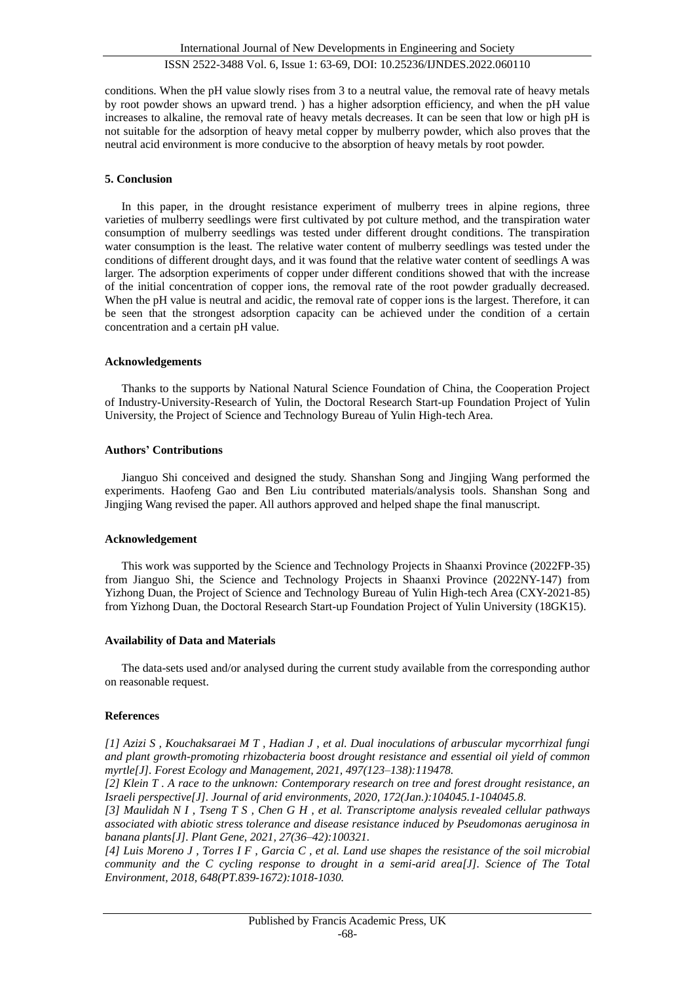conditions. When the pH value slowly rises from 3 to a neutral value, the removal rate of heavy metals by root powder shows an upward trend. ) has a higher adsorption efficiency, and when the pH value increases to alkaline, the removal rate of heavy metals decreases. It can be seen that low or high pH is not suitable for the adsorption of heavy metal copper by mulberry powder, which also proves that the neutral acid environment is more conducive to the absorption of heavy metals by root powder.

#### **5. Conclusion**

In this paper, in the drought resistance experiment of mulberry trees in alpine regions, three varieties of mulberry seedlings were first cultivated by pot culture method, and the transpiration water consumption of mulberry seedlings was tested under different drought conditions. The transpiration water consumption is the least. The relative water content of mulberry seedlings was tested under the conditions of different drought days, and it was found that the relative water content of seedlings A was larger. The adsorption experiments of copper under different conditions showed that with the increase of the initial concentration of copper ions, the removal rate of the root powder gradually decreased. When the pH value is neutral and acidic, the removal rate of copper ions is the largest. Therefore, it can be seen that the strongest adsorption capacity can be achieved under the condition of a certain concentration and a certain pH value.

#### **Acknowledgements**

Thanks to the supports by National Natural Science Foundation of China, the Cooperation Project of Industry-University-Research of Yulin, the Doctoral Research Start-up Foundation Project of Yulin University, the Project of Science and Technology Bureau of Yulin High-tech Area.

#### **Authors' Contributions**

Jianguo Shi conceived and designed the study. Shanshan Song and Jingjing Wang performed the experiments. Haofeng Gao and Ben Liu contributed materials/analysis tools. Shanshan Song and Jingjing Wang revised the paper. All authors approved and helped shape the final manuscript.

#### **Acknowledgement**

This work was supported by the Science and Technology Projects in Shaanxi Province (2022FP-35) from Jianguo Shi, the Science and Technology Projects in Shaanxi Province (2022NY-147) from Yizhong Duan, the Project of Science and Technology Bureau of Yulin High-tech Area (CXY-2021-85) from Yizhong Duan, the Doctoral Research Start-up Foundation Project of Yulin University (18GK15).

#### **Availability of Data and Materials**

The data-sets used and/or analysed during the current study available from the corresponding author on reasonable request.

#### **References**

*[1] Azizi S , Kouchaksaraei M T , Hadian J , et al. Dual inoculations of arbuscular mycorrhizal fungi and plant growth-promoting rhizobacteria boost drought resistance and essential oil yield of common myrtle[J]. Forest Ecology and Management, 2021, 497(123–138):119478.*

*[2] Klein T . A race to the unknown: Contemporary research on tree and forest drought resistance, an Israeli perspective[J]. Journal of arid environments, 2020, 172(Jan.):104045.1-104045.8.*

*[3] Maulidah N I , Tseng T S , Chen G H , et al. Transcriptome analysis revealed cellular pathways associated with abiotic stress tolerance and disease resistance induced by Pseudomonas aeruginosa in banana plants[J]. Plant Gene, 2021, 27(36–42):100321.*

*[4] Luis Moreno J , Torres I F , Garcia C , et al. Land use shapes the resistance of the soil microbial community and the C cycling response to drought in a semi-arid area[J]. Science of The Total Environment, 2018, 648(PT.839-1672):1018-1030.*